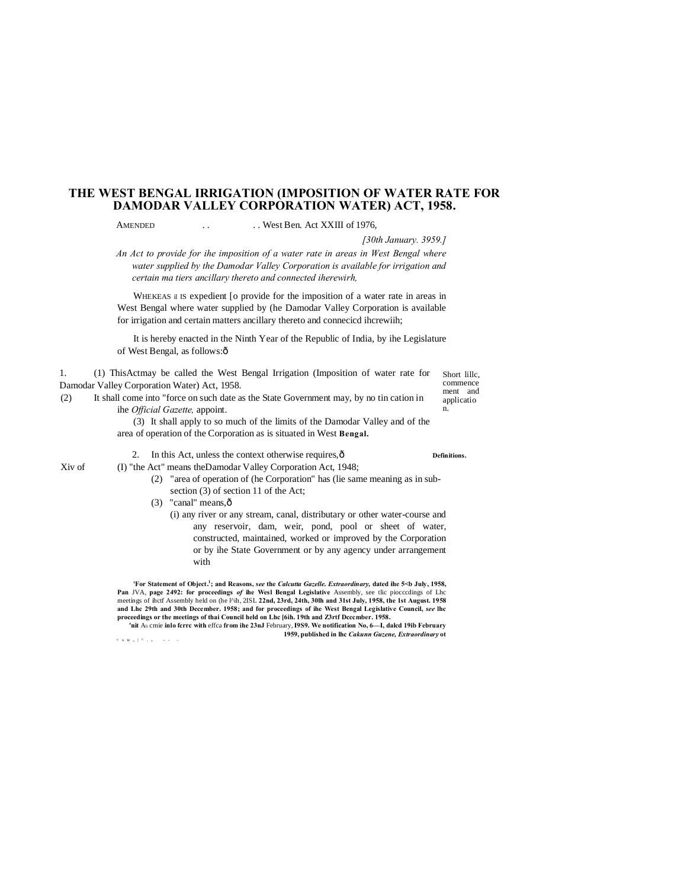# **THE WEST BENGAL IRRIGATION (IMPOSITION OF WATER RATE FOR DAMODAR VALLEY CORPORATION WATER) ACT, 1958.**

AMENDED . . . . West Ben. Act XXIII of 1976,

*[30th January. 3959.]*

Short lillc, commence ment and applicatio n.

*An Act to provide for ihe imposition of a water rate in areas in West Bengal where water supplied by the Damodar Valley Corporation is available for irrigation and certain ma tiers ancillary thereto and connected iherewirh,*

WHEKEAS il IS expedient [o provide for the imposition of a water rate in areas in West Bengal where water supplied by (he Damodar Valley Corporation is available for irrigation and certain matters ancillary thereto and connecicd ihcrewiih;

It is hereby enacted in the Ninth Year of the Republic of India, by ihe Legislature of West Bengal, as follows: $\hat{o}$ 

1. (1) ThisActmay be called the West Bengal Irrigation (Imposition of water rate for Damodar Valley Corporation Water) Act, 1958.

(2) It shall come into "force on such date as the State Government may, by no tin cation in ihe *Official Gazette,* appoint.

> (3) It shall apply to so much of the limits of the Damodar Valley and of the area of operation of the Corporation as is situated in West **Bengal.**

2. In this Act, unless the context otherwise requires,— **Definitions.**

Xiv of (I) "the Act" means theDamodar Valley Corporation Act, 1948;

- (2) "area of operation of (he Corporation" has (lie same meaning as in subsection (3) of section 11 of the Act;
- $(3)$  "canal" means, $\hat{0}$ 
	- (i) any river or any stream, canal, distributary or other water-course and any reservoir, dam, weir, pond, pool or sheet of water, constructed, maintained, worked or improved by the Corporation or by ihe State Government or by any agency under arrangement with

**'For Statement of Object.1 ; and Reasons,** *see* **the** *Calcutta Gazelle. Extraordinary,* **dated ihe 5<b July, 1958, Pan** JVA, **page 2492: for proceedings** *of* **ihe Wesl Bengal Legislative** Assembly, see tlic piocccdings of Lhc meetings of ihctf Assembly held on (he l^ih, 2ISL **22nd, 23rd, 24th, 30lh and 31st July, 1958, the 1st August. 1958 and Lhc 29th and 30th December. 1958; and for proceedings of ihe West Bengal Legislative Council,** *see* **lhc proceedings or the meetings of thai Council held on Lhc [6ih. 19th and Z3rtf Dcccmber. 1958.**

**'nit** Ali cmie **inlo fcrrc with** effca **from ihe 23nJ** February,**I9S9. We notification No, 6—I, dalcd 19ib February 1959, published in lhc** *Cakunn Guzene, Extraordinary* **ot**  $<$  s w  $<$   $+$   $<$   $+$   $+$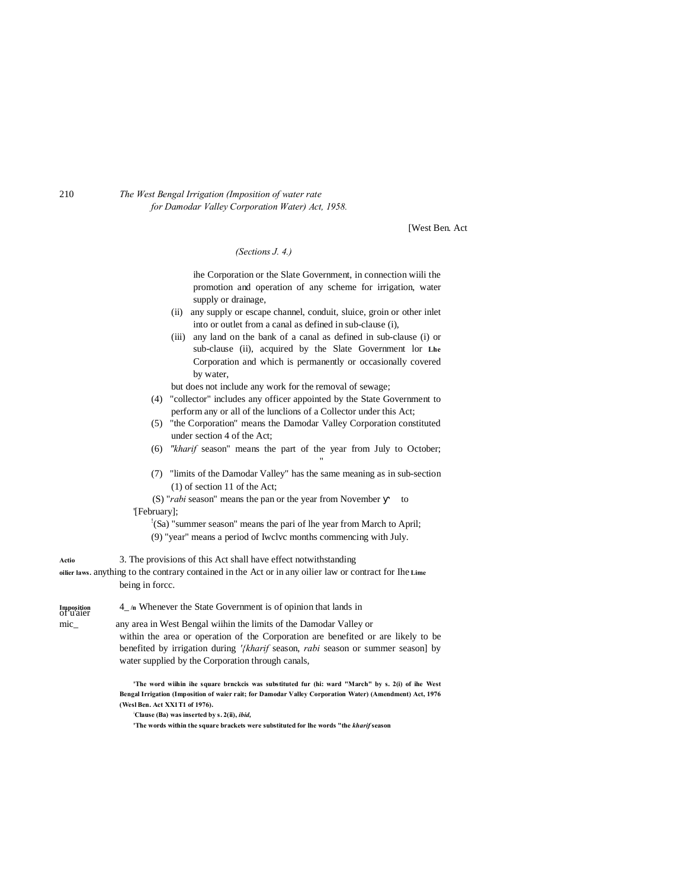### 210 *The West Bengal Irrigation (Imposition of water rate for Damodar Valley Corporation Water) Act, 1958.*

[West Ben. Act

*(Sections J. 4.)*

ihe Corporation or the Slate Government, in connection wiili the promotion and operation of any scheme for irrigation, water supply or drainage,

- (ii) any supply or escape channel, conduit, sluice, groin or other inlet into or outlet from a canal as defined in sub-clause (i),
- (iii) any land on the bank of a canal as defined in sub-clause (i) or sub-clause (ii), acquired by the Slate Government lor **Lhe** Corporation and which is permanently or occasionally covered by water,

but does not include any work for the removal of sewage;

- (4) "collector" includes any officer appointed by the State Government to perform any or all of the lunclions of a Collector under this Act;
- (5) "the Corporation" means the Damodar Valley Corporation constituted under section 4 of the Act;
- (6) *"kharif* season" means the part of the year from July to October; "
- (7) "limits of the Damodar Valley" has the same meaning as in sub-section (1) of section 11 of the Act;

(S) "*rabi* season" means the pan or the year from November to '[February];

- ! (Sa) "summer season" means the pari of lhe year from March to April;
- (9) "year" means a period of Iwclvc months commencing with July.

**Actio** 3. The provisions of this Act shall have effect notwithstanding

**oilier laws.** anything to the contrary contained in the Act or in any oilier law or contract for Ihe **Lime** being in forcc.

**Imposition** 4\_ **/n** Whenever the State Government is of opinion that lands in of u'aier

mic\_ any area in West Bengal wiihin the limits of the Damodar Valley or within the area or operation of the Corporation are benefited or are likely to be benefited by irrigation during *'{kharif* season, *rabi* season or summer season] by

water supplied by the Corporation through canals,

**'The word wiihin ihe square brnckcis was substituted fur (hi: ward "March" by s. 2(i) of ihe West Bengal Irrigation (Imposition of waier rait; for Damodar Valley Corporation Water) (Amendment) Act, 1976 (Wesl Ben. Act XX1T1 of 1976).**

**: Clause (Ba) was inserted by s. 2(ii),** *ibid,*

**'The words within the square brackets were substituted for lhe words "the** *kharif* **season**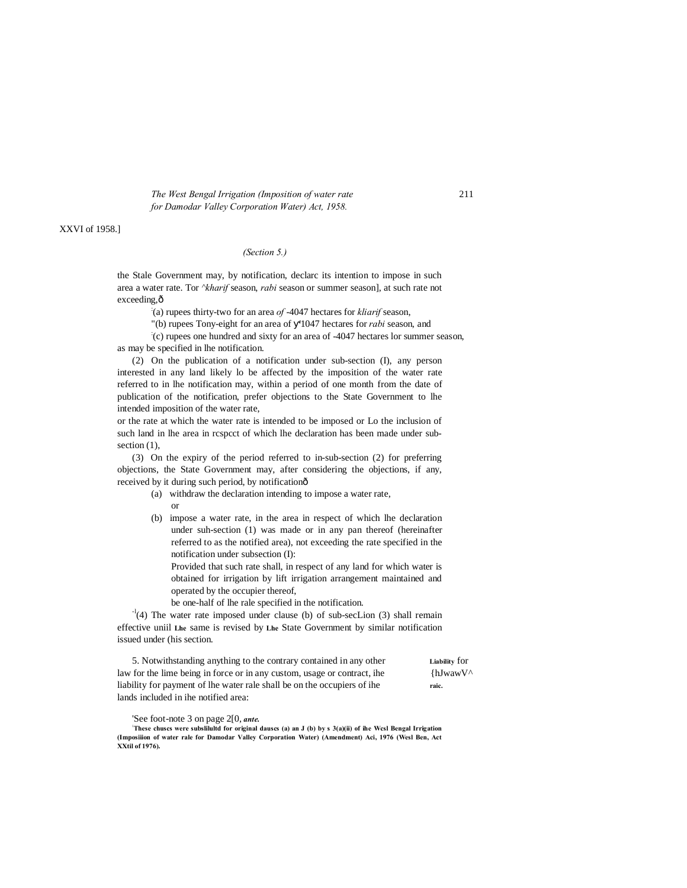*The West Bengal Irrigation (Imposition of water rate* 211 *for Damodar Valley Corporation Water) Act, 1958.*

## XXVI of 1958.]

#### *(Section 5.)*

the Stale Government may, by notification, declarc its intention to impose in such area a water rate. Tor *^kharif* season, *rabi* season or summer season], at such rate not exceeding.ô

: (a) rupees thirty-two for an area *of* -4047 hectares for *kliarif* season,

"(b) rupees Tony-eight for an area of '1047 hectares for *rabi* season, and

: (c) rupees one hundred and sixty for an area of -4047 hectares lor summer season, as may be specified in lhe notification.

(2) On the publication of a notification under sub-section (I), any person interested in any land likely lo be affected by the imposition of the water rate referred to in lhe notification may, within a period of one month from the date of publication of the notification, prefer objections to the State Government to lhe intended imposition of the water rate,

or the rate at which the water rate is intended to be imposed or Lo the inclusion of such land in lhe area in rcspcct of which lhe declaration has been made under subsection  $(1)$ ,

(3) On the expiry of the period referred to in-sub-section (2) for preferring objections, the State Government may, after considering the objections, if any, received by it during such period, by notificationô

- (a) withdraw the declaration intending to impose a water rate, or
- (b) impose a water rate, in the area in respect of which lhe declaration under suh-section (1) was made or in any pan thereof (hereinafter referred to as the notified area), not exceeding the rate specified in the notification under subsection (I):

Provided that such rate shall, in respect of any land for which water is obtained for irrigation by lift irrigation arrangement maintained and operated by the occupier thereof,

be one-half of lhe rale specified in the notification.

-l(4) The water rate imposed under clause (b) of sub-secLion (3) shall remain effective uniil **Lhe** same is revised by **Lhe** State Government by similar notification issued under (his section.

| 5. Notwithstanding anything to the contrary contained in any other       | Liability for            |
|--------------------------------------------------------------------------|--------------------------|
| law for the lime being in force or in any custom, usage or contract, the | $\hbox{hJwawV}^{\wedge}$ |
| liability for payment of the water rale shall be on the occupiers of the | raic.                    |
| lands included in the notified area:                                     |                          |

'See foot-note 3 on page 2[0, *ante.*

**: These chuscs were subslilultd for original dauscs (a) an J (b) by s 3(a)(ii) of ihe Wcsl Bengal Irrigation (Imposiiion of water rale for Damodar Valley Corporation Water) (Amendment) Aci, 1976 (Wesl Ben, Act XXtil of 1976).**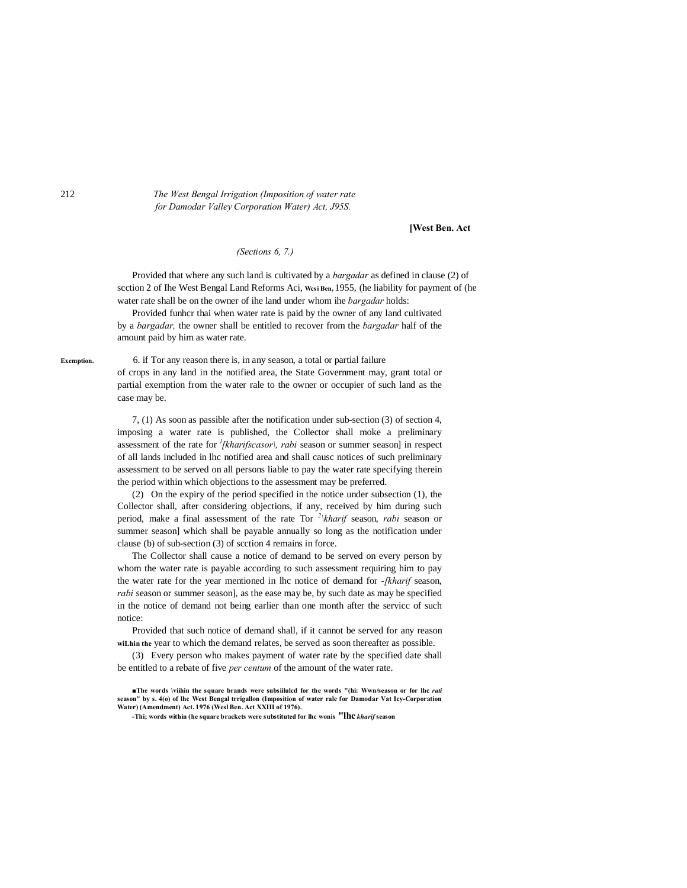212 *The West Bengal Irrigation (Imposition of water rate for Damodar Valley Corporation Water) Act, J95S.*

#### **[West Ben. Act**

## *(Sections 6, 7.)*

Provided that where any such land is cultivated by a *bargadar* as defined in clause (2) of scction 2 of Ihe West Bengal Land Reforms Aci, **Wcsi Ben,** 1955, (he liability for payment of (he water rate shall be on the owner of ihe land under whom ihe *bargadar* holds:

Provided funhcr thai when water rate is paid by the owner of any land cultivated by a *bargadar,* the owner shall be entitled to recover from the *bargadar* half of the amount paid by him as water rate.

**Exemption.** 6. if Tor any reason there is, in any season, a total or partial failure of crops in any land in the notified area, the State Government may, grant total or partial exemption from the water rale to the owner or occupier of such land as the case may be.

> 7, (1) As soon as passible after the notification under sub-section (3) of section 4, imposing a water rate is published, the Collector shall moke a preliminary assessment of the rate for *<sup>l</sup> [kharifscasor\, rabi* season or summer season] in respect of all lands included in lhc notified area and shall causc notices of such preliminary assessment to be served on all persons liable to pay the water rate specifying therein the period within which objections to the assessment may be preferred.

> (2) On the expiry of the period specified in the notice under subsection (1), the Collector shall, after considering objections, if any, received by him during such period, make a final assessment of the rate Tor *<sup>2</sup> \kharif* season, *rabi* season or summer season] which shall be payable annually so long as the notification under clause (b) of sub-section (3) of scction 4 remains in force.

> The Collector shall cause a notice of demand to be served on every person by whom the water rate is payable according to such assessment requiring him to pay the water rate for the year mentioned in lhc notice of demand for *-[kharif* season, *rabi* season or summer season], as the ease may be, by such date as may be specified in the notice of demand not being earlier than one month after the servicc of such notice:

> Provided that such notice of demand shall, if it cannot be served for any reason **wiLhin the** year to which the demand relates, be served as soon thereafter as possible.

> (3) Every person who makes payment of water rate by the specified date shall be entitled to a rebate of five *per centum* of the amount of the water rate.

**<sup>■</sup>The words \viihin the square brands were subsiilulcd for the words "(hi: Wwn/season or for lhc** *rati* **season" by s. 4(o) of lhc West Bengal trrigallon (Imposition of water rale for Damodar Vat Icy-Corporation Water) (Amendment) Act. 1976 (Wesl Ben. Act XXIII of 1976).**

**<sup>-</sup>Thi; words within (he square brackets were substituted for lhc wonis "lhc** *kharif* **season**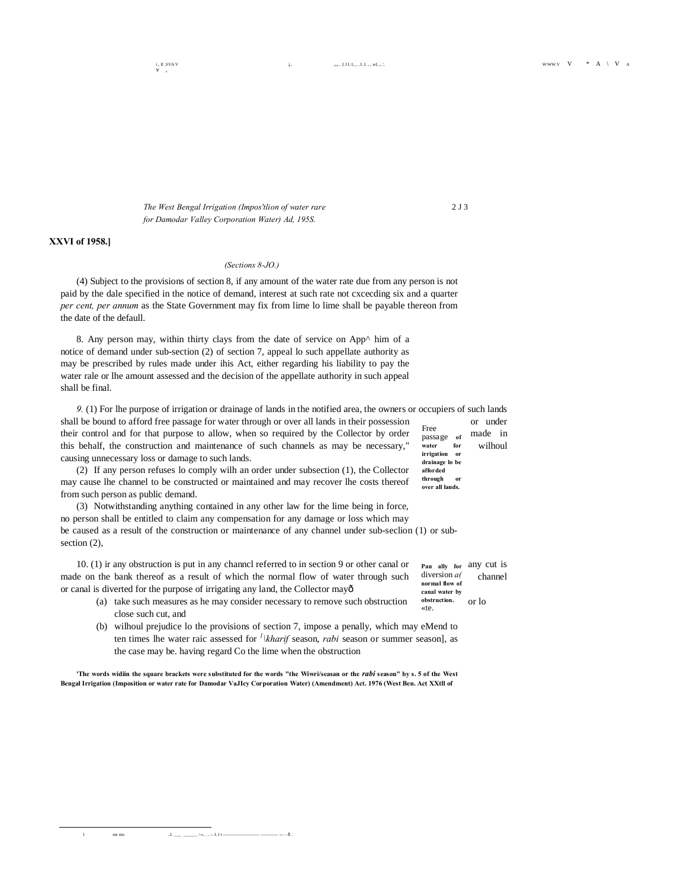$i, II$  , SVA V

*The West Bengal Irrigation (Impos'tlion of water rare* 2 J 3 *for Damodar Valley Corporation Water) Ad, 195S.*

## **XXVI of 1958.]**

#### *(Sections 8-JO.)*

(4) Subject to the provisions of section 8, if any amount of the water rate due from any person is not paid by the dale specified in the notice of demand, interest at such rate not cxcecding six and a quarter *per cent, per annum* as the State Government may fix from lime lo lime shall be payable thereon from the date of the defaull.

8. Any person may, within thirty clays from the date of service on App^ him of a notice of demand under sub-section (2) of section 7, appeal lo such appellate authority as may be prescribed by rules made under ihis Act, either regarding his liability to pay the water rale or lhe amount assessed and the decision of the appellate authority in such appeal shall be final.

Free passage **of water for irrigation or drainage lo be afforded**  *9.* (1) For lhe purpose of irrigation or drainage of lands in the notified area, the owners or occupiers of such lands shall be bound to afford free passage for water through or over all lands in their possession or under their control and for that purpose to allow, when so required by the Collector by order massage of made in this behalf, the construction and maintenance of such channels as may be necessary," water for wilhoul causing unnecessary loss or damage to such lands.

(2) If any person refuses lo comply wilh an order under subsection (1), the Collector may cause lhe channel to be constructed or maintained and may recover lhe costs thereof from such person as public demand.

(3) Notwithstanding anything contained in any other law for the lime being in force, no person shall be entitled to claim any compensation for any damage or loss which may be caused as a result of the construction or maintenance of any channel under sub-seclion (1) or subsection  $(2)$ ,

10. (1) ir any obstruction is put in any channel referred to in section 9 or other canal or  $P_{\text{an allly for any cut}}$  is made on the bank thereof as a result of which the normal flow of water through such diversion  $a$  channel or canal is diverted for the purpose of irrigating any land, the Collector may—

**Pan ally for**  diversion *a(* **normal flow of canal water by obstruction.** 

through **over all lands.**

- «te. (a) take such measures as he may consider necessary to remove such obstruction  $\theta$ <sup>obstruction</sup> or lo close such cut, and
- (b) wilhoul prejudice lo the provisions of section 7, impose a penally, which may eMend to ten times lhe water raic assessed for *<sup>1</sup> \kharif* season, *rabi* season or summer season], as the case may be. having regard Co the lime when the obstruction

**'The words widiin the square brackets were substituted for the words "the Wiwri/seasan or the** *rabi* **season" by s. 5 of the West Bengal Irrigation (Imposition or water rate for Damodar VaJIcy Corporation Water) (Amendment) Act. 1976 (West Ben. Act XXtll of**